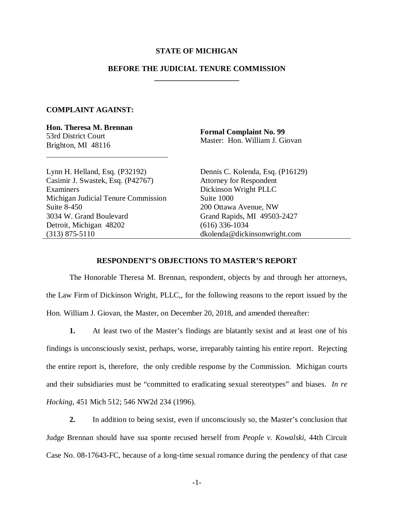## **STATE OF MICHIGAN**

## **BEFORE THE JUDICIAL TENURE COMMISSION**

 **\_\_\_\_\_\_\_\_\_\_\_\_\_\_\_\_\_\_\_\_\_\_** 

## **COMPLAINT AGAINST:**

**Hon. Theresa M. Brennan**  53rd District Court Brighton, MI 48116

 $\overline{a}$ 

**Formal Complaint No. 99**  Master: Hon. William J. Giovan

Lynn H. Helland, Esq. (P32192) Casimir J. Swastek, Esq. (P42767) Examiners Michigan Judicial Tenure Commission Suite 8-450 3034 W. Grand Boulevard Detroit, Michigan 48202 (313) 875-5110

Dennis C. Kolenda, Esq. (P16129) Attorney for Respondent Dickinson Wright PLLC Suite 1000 200 Ottawa Avenue, NW Grand Rapids, MI 49503-2427 (616) 336-1034 dkolenda@dickinsonwright.com

## **RESPONDENT'S OBJECTIONS TO MASTER'S REPORT**

The Honorable Theresa M. Brennan, respondent, objects by and through her attorneys, the Law Firm of Dickinson Wright, PLLC,, for the following reasons to the report issued by the Hon. William J. Giovan, the Master, on December 20, 2018, and amended thereafter:

**1.** At least two of the Master's findings are blatantly sexist and at least one of his findings is unconsciously sexist, perhaps, worse, irreparably tainting his entire report. Rejecting the entire report is, therefore, the only credible response by the Commission. Michigan courts and their subsidiaries must be "committed to eradicating sexual stereotypes" and biases. *In re Hocking*, 451 Mich 512; 546 NW2d 234 (1996).

**2.** In addition to being sexist, even if unconsciously so, the Master's conclusion that Judge Brennan should have sua sponte recused herself from *People v. Kowalski*, 44th Circuit Case No. 08-17643-FC, because of a long-time sexual romance during the pendency of that case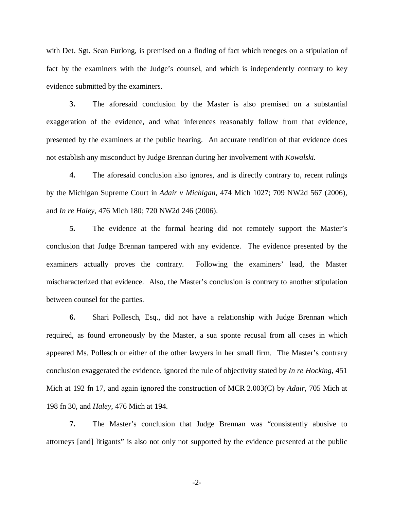with Det. Sgt. Sean Furlong, is premised on a finding of fact which reneges on a stipulation of fact by the examiners with the Judge's counsel, and which is independently contrary to key evidence submitted by the examiners.

**3.** The aforesaid conclusion by the Master is also premised on a substantial exaggeration of the evidence, and what inferences reasonably follow from that evidence, presented by the examiners at the public hearing. An accurate rendition of that evidence does not establish any misconduct by Judge Brennan during her involvement with *Kowalski.*

**4.** The aforesaid conclusion also ignores, and is directly contrary to, recent rulings by the Michigan Supreme Court in *Adair v Michigan*, 474 Mich 1027; 709 NW2d 567 (2006), and *In re Haley*, 476 Mich 180; 720 NW2d 246 (2006).

**5.** The evidence at the formal hearing did not remotely support the Master's conclusion that Judge Brennan tampered with any evidence. The evidence presented by the examiners actually proves the contrary. Following the examiners' lead, the Master mischaracterized that evidence. Also, the Master's conclusion is contrary to another stipulation between counsel for the parties.

**6.** Shari Pollesch, Esq., did not have a relationship with Judge Brennan which required, as found erroneously by the Master, a sua sponte recusal from all cases in which appeared Ms. Pollesch or either of the other lawyers in her small firm. The Master's contrary conclusion exaggerated the evidence, ignored the rule of objectivity stated by *In re Hocking*, 451 Mich at 192 fn 17, and again ignored the construction of MCR 2.003(C) by *Adair*, 705 Mich at 198 fn 30, and *Haley*, 476 Mich at 194.

**7.** The Master's conclusion that Judge Brennan was "consistently abusive to attorneys [and] litigants" is also not only not supported by the evidence presented at the public

-2-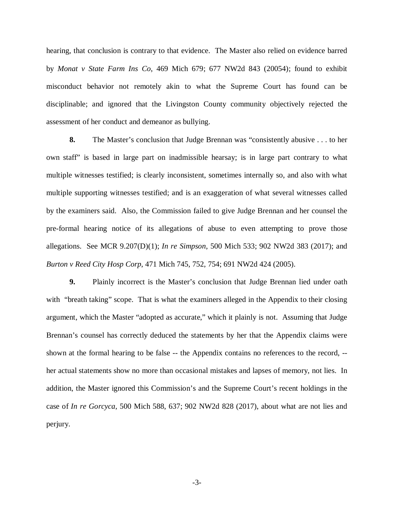hearing, that conclusion is contrary to that evidence. The Master also relied on evidence barred by *Monat v State Farm Ins Co*, 469 Mich 679; 677 NW2d 843 (20054); found to exhibit misconduct behavior not remotely akin to what the Supreme Court has found can be disciplinable; and ignored that the Livingston County community objectively rejected the assessment of her conduct and demeanor as bullying.

**8.** The Master's conclusion that Judge Brennan was "consistently abusive . . . to her own staff" is based in large part on inadmissible hearsay; is in large part contrary to what multiple witnesses testified; is clearly inconsistent, sometimes internally so, and also with what multiple supporting witnesses testified; and is an exaggeration of what several witnesses called by the examiners said. Also, the Commission failed to give Judge Brennan and her counsel the pre-formal hearing notice of its allegations of abuse to even attempting to prove those allegations. See MCR 9.207(D)(1); *In re Simpson*, 500 Mich 533; 902 NW2d 383 (2017); and *Burton v Reed City Hosp Corp*, 471 Mich 745, 752, 754; 691 NW2d 424 (2005).

**9.** Plainly incorrect is the Master's conclusion that Judge Brennan lied under oath with "breath taking" scope. That is what the examiners alleged in the Appendix to their closing argument, which the Master "adopted as accurate," which it plainly is not. Assuming that Judge Brennan's counsel has correctly deduced the statements by her that the Appendix claims were shown at the formal hearing to be false -- the Appendix contains no references to the record, - her actual statements show no more than occasional mistakes and lapses of memory, not lies. In addition, the Master ignored this Commission's and the Supreme Court's recent holdings in the case of *In re Gorcyca*, 500 Mich 588, 637; 902 NW2d 828 (2017), about what are not lies and perjury.

-3-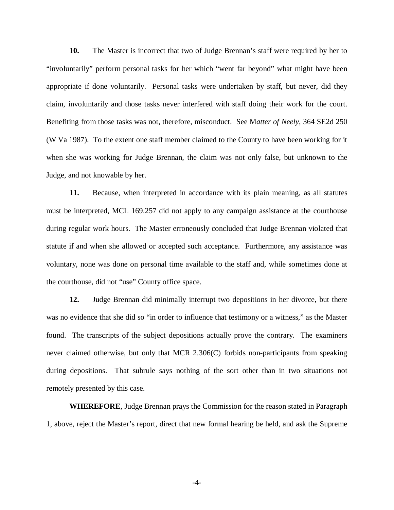**10.** The Master is incorrect that two of Judge Brennan's staff were required by her to "involuntarily" perform personal tasks for her which "went far beyond" what might have been appropriate if done voluntarily. Personal tasks were undertaken by staff, but never, did they claim, involuntarily and those tasks never interfered with staff doing their work for the court. Benefiting from those tasks was not, therefore, misconduct. See M*atter of Neely*, 364 SE2d 250 (W Va 1987). To the extent one staff member claimed to the County to have been working for it when she was working for Judge Brennan, the claim was not only false, but unknown to the Judge, and not knowable by her.

**11.** Because, when interpreted in accordance with its plain meaning, as all statutes must be interpreted, MCL 169.257 did not apply to any campaign assistance at the courthouse during regular work hours. The Master erroneously concluded that Judge Brennan violated that statute if and when she allowed or accepted such acceptance. Furthermore, any assistance was voluntary, none was done on personal time available to the staff and, while sometimes done at the courthouse, did not "use" County office space.

**12.** Judge Brennan did minimally interrupt two depositions in her divorce, but there was no evidence that she did so "in order to influence that testimony or a witness," as the Master found. The transcripts of the subject depositions actually prove the contrary. The examiners never claimed otherwise, but only that MCR 2.306(C) forbids non-participants from speaking during depositions. That subrule says nothing of the sort other than in two situations not remotely presented by this case.

**WHEREFORE**, Judge Brennan prays the Commission for the reason stated in Paragraph 1, above, reject the Master's report, direct that new formal hearing be held, and ask the Supreme

-4-